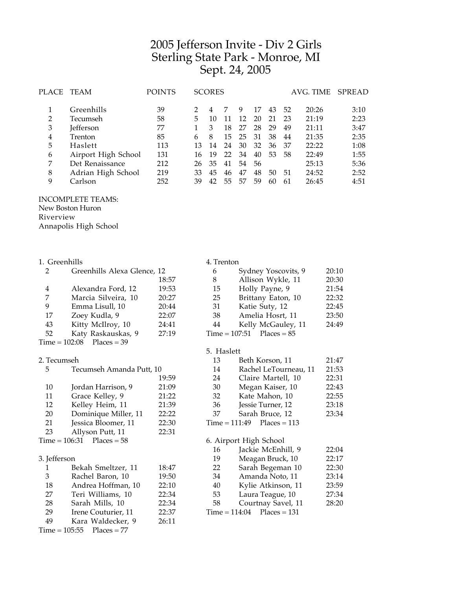# Jefferson Invite - Div 2 Girls Sterling State Park - Monroe, MI Sept. 24, 2005

| PLACE | TEAM                | <b>POINTS</b> |    | <b>SCORES</b> |    |    |    |    |     | AVG. TIME | SPREAD |
|-------|---------------------|---------------|----|---------------|----|----|----|----|-----|-----------|--------|
|       | Greenhills          | 39            |    |               |    | 9  | 17 | 43 | 52  | 20:26     | 3:10   |
| 2     | Tecumseh            | 58            | 5  | 10            | 11 | 12 | 20 | 21 | 23  | 21:19     | 2:23   |
| 3     | <b>Jefferson</b>    | 77            |    |               | 18 | 27 | 28 | 29 | 49  | 21:11     | 3:47   |
| 4     | Trenton             | 85            | 6  | 8             | 15 | 25 | 31 | 38 | 44  | 21:35     | 2:35   |
| 5     | Haslett             | 113           | 13 | 14            | 24 | 30 | 32 | 36 | -37 | 22:22     | 1:08   |
| 6     | Airport High School | 131           | 16 | 19            | 22 | 34 | 40 | 53 | 58  | 22:49     | 1:55   |
| 7     | Det Renaissance     | 212           | 26 | 35            | 41 | 54 | 56 |    |     | 25:13     | 5:36   |
| 8     | Adrian High School  | 219           | 33 | 45            | 46 | 47 | 48 | 50 | 51  | 24:52     | 2:52   |
| 9     | Carlson             | 252           | 39 | 42            | 55 | 57 | 59 | 60 | 61  | 26:45     | 4:51   |
|       |                     |               |    |               |    |    |    |    |     |           |        |

### INCOMPLETE TEAMS:

New Boston Huron

Riverview

Annapolis High School

| 1. Greenhills<br>2 | Greenhills Alexa Glence, 12 |       |
|--------------------|-----------------------------|-------|
|                    |                             | 18:57 |
| 4                  | Alexandra Ford, 12          | 19:53 |
| 7                  | Marcia Silveira, 10         | 20:27 |
| 9                  | Emma Lisull, 10             | 20:44 |
| 17                 | Zoey Kudla, 9               | 22:07 |
| 43                 | Kitty McIlroy, 10           | 24:41 |
| 52                 | Katy Raskauskas, 9          | 27:19 |
|                    | $Time = 102:08$ Places = 39 |       |

### 2. Tecumseh

| 5            | Tecumseh Amanda Putt, 10      |       |  |
|--------------|-------------------------------|-------|--|
|              |                               | 19:59 |  |
| 10           | Jordan Harrison, 9            | 21:09 |  |
| 11           | Grace Kelley, 9               | 21:22 |  |
| 12           | Kelley Heim, 11               | 21:39 |  |
| 20           | Dominique Miller, 11          | 22:22 |  |
| 21           | Jessica Bloomer, 11           | 22:30 |  |
| 23           | Allyson Putt, 11              | 22:31 |  |
|              | $Time = 106:31$ $Places = 58$ |       |  |
|              |                               |       |  |
| 3. Jefferson |                               |       |  |
| 1.           | Bekah Smeltzer, 11            | 18:47 |  |
| 3            | Rachel Baron, 10              | 19:50 |  |
| 18           | Andrea Hoffman, 10            | 22:10 |  |
| 27           | Teri Williams, 10             | 22:34 |  |
| 28           | Sarah Mills, 10               | 22:34 |  |
| 29           | Irene Couturier, 11           | 22:37 |  |
| 49           | Kara Waldecker, 9             | 26:11 |  |
|              |                               |       |  |

 $Time = 105:55$  Places = 77

#### 4. Trenton

| 6  | Sydney Yoscovits, 9         | 20:10 |
|----|-----------------------------|-------|
| 8  | Allison Wykle, 11           | 20:30 |
| 15 | Holly Payne, 9              | 21:54 |
| 25 | Brittany Eaton, 10          | 22:32 |
| 31 | Katie Suty, 12              | 22:45 |
| 38 | Amelia Hosrt, 11            | 23:50 |
| 44 | Kelly McGauley, 11          | 24:49 |
|    | $Time = 107:51$ Places = 85 |       |

## 5. Haslett

| 13 | Beth Korson, 11                | 21:47 |
|----|--------------------------------|-------|
| 14 | Rachel LeTourneau, 11          | 21:53 |
| 24 | Claire Martell, 10             | 22:31 |
| 30 | Megan Kaiser, 10               | 22:43 |
| 32 | Kate Mahon, 10                 | 22:55 |
| 36 | Jessie Turner, 12              | 23:18 |
| 37 | Sarah Bruce, 12                | 23:34 |
|    | $Time = 111:49$ $Places = 113$ |       |
|    |                                |       |

# 6. Airport High School

| Meagan Bruck, 10<br>19         | 22:17 |
|--------------------------------|-------|
|                                |       |
| Sarah Begeman 10<br>22         | 22:30 |
| Amanda Noto, 11<br>34          | 23:14 |
| Kylie Atkinson, 11<br>40       | 23:59 |
| Laura Teague, 10<br>53         | 27:34 |
| Courtnay Savel, 11<br>58       | 28:20 |
| $Time = 114:04$ $Places = 131$ |       |